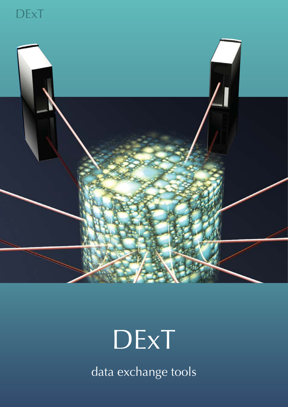



# **DExT**

data exchange tools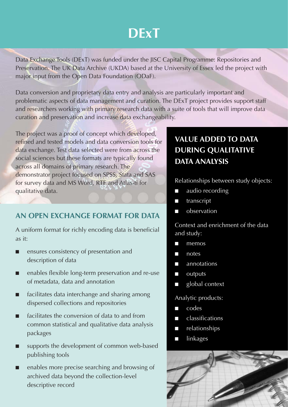## **DExT**

Data Exchange Tools (DExT) was funded under the JISC Capital Programme: Repositories and Preservation. The UK Data Archive (UKDA) based at the University of Essex led the project with major input from the Open Data Foundation (ODaF).

Data conversion and proprietary data entry and analysis are particularly important and problematic aspects of data management and curation. The DExT project provides support staff and researchers working with primary research data with a suite of tools that will improve data curation and preservation and increase data exchangeability.

The project was a proof of concept which developed, refined and tested models and data conversion tools for data exchange. Test data selected were from across the social sciences but these formats are typically found across all domains of primary research. The demonstrator project focused on SPSS, Stata and SAS for survey data and MS Word, RTF and Atlas-ti for qualitative data.

#### **AN OPEN EXCHANGE FORMAT FOR DATA**

A uniform format for richly encoding data is beneficial as it:

- ensures consistency of presentation and description of data
- enables flexible long-term preservation and re-use of metadata, data and annotation
- facilitates data interchange and sharing among dispersed collections and repositories
- facilitates the conversion of data to and from common statistical and qualitative data analysis packages
- supports the development of common web-based publishing tools
- enables more precise searching and browsing of archived data beyond the collection-level descriptive record

### **VALUE ADDED TO DATA DURING QUALITATIVE DATA ANALYSIS**

Relationships between study objects:

- audio recording
- transcript
- observation

Context and enrichment of the data and study:

- memos
- notes
- annotations
- outputs
- global context

Analytic products:

- codes
- classifications
- relationships
- linkages

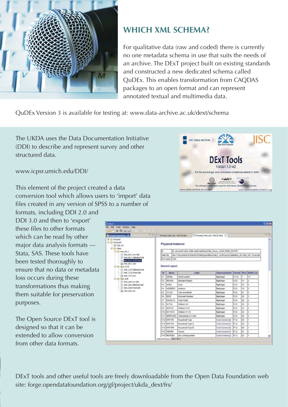

#### **WHICH XML SCHEMA?**

For qualitative data (raw and coded) there is currently no one metadata schema in use that suits the needs of an archive. The DExT project built on existing standards and constructed a new dedicated schema called QuDEx. This enables transformation from CAQDAS packages to an open format and can represent annotated textual and multimedia data.

QuDEx Version 3 is available for testing at: www.data-archive.ac.uk/dext/schema

The UKDA uses the Data Documentation Initiative (DDI) to describe and represent survey and other structured data.

www.icpsr.umich.edu/DDI/

This element of the project created a data conversion tool which allows users to 'import' data files created in any version of SPSS to a number of

formats, including DDI 2.0 and DDI 3.0 and then to 'export' these files to other formats which can be read by other major data analysis formats — Stata, SAS. These tools have been tested thoroughly to ensure that no data or metadata loss occurs during these transformations thus making them suitable for preservation purposes.

The Open Source DExT tool is designed so that it can be extended to allow conversion from other data formats.



DExT tools and other useful tools are freely downloadable from the Open Data Foundation web site: forge.opendatafoundation.org/gf/project/ukda\_dext/frs/